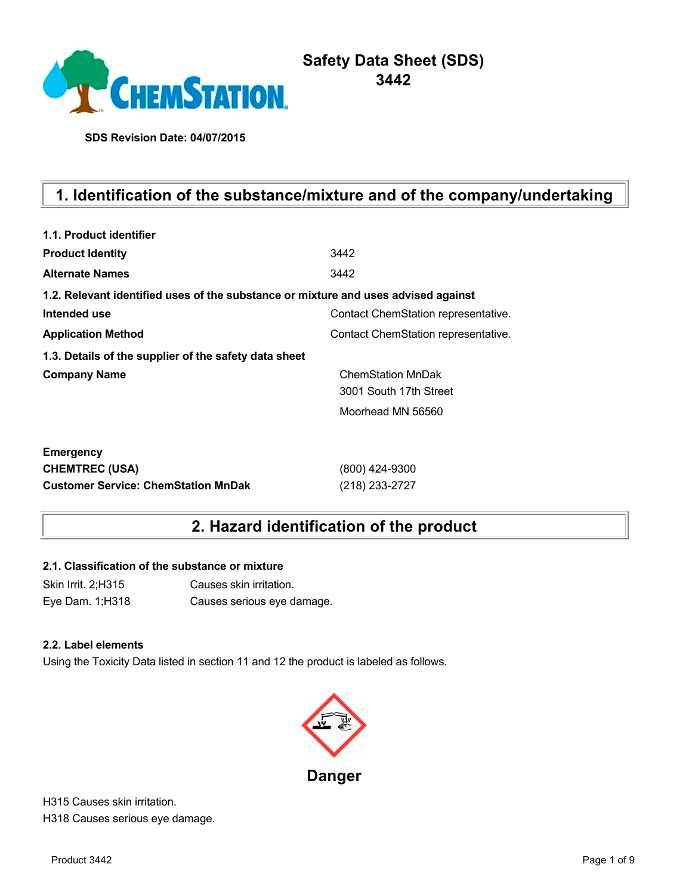

# **Safety Data Sheet (SDS) 3442**

**SDS Revision Date: 04/07/2015**

# **1. Identification of the substance/mixture and of the company/undertaking**

| 1.1. Product identifier                                                            |                                     |
|------------------------------------------------------------------------------------|-------------------------------------|
| <b>Product Identity</b>                                                            | 3442                                |
| <b>Alternate Names</b>                                                             | 3442                                |
| 1.2. Relevant identified uses of the substance or mixture and uses advised against |                                     |
| Intended use                                                                       | Contact ChemStation representative. |
| <b>Application Method</b>                                                          | Contact ChemStation representative. |
| 1.3. Details of the supplier of the safety data sheet                              |                                     |
| <b>Company Name</b>                                                                | <b>ChemStation MnDak</b>            |
|                                                                                    | 3001 South 17th Street              |
|                                                                                    | Moorhead MN 56560                   |
| <b>Emergency</b>                                                                   |                                     |
| <b>CHEMTREC (USA)</b>                                                              | (800) 424-9300                      |
| <b>Customer Service: ChemStation MnDak</b>                                         | (218) 233-2727                      |

# **2. Hazard identification of the product**

#### **2.1. Classification of the substance or mixture**

Skin Irrit. 2;H315 Causes skin irritation. Eye Dam. 1;H318 Causes serious eye damage.

#### **2.2. Label elements**

Using the Toxicity Data listed in section 11 and 12 the product is labeled as follows.



H315 Causes skin irritation. H318 Causes serious eye damage.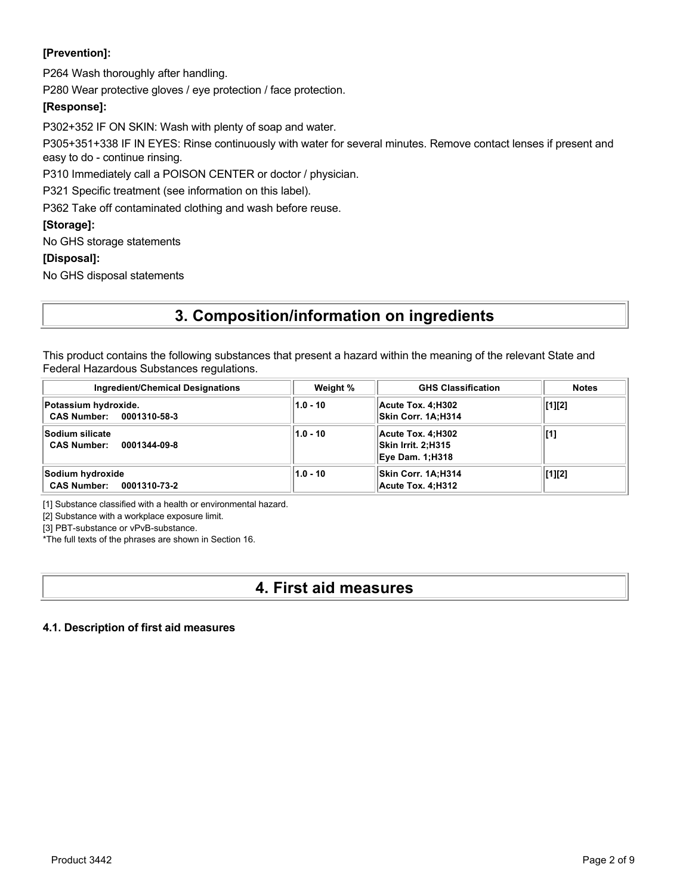### **[Prevention]:**

P264 Wash thoroughly after handling.

P280 Wear protective gloves / eye protection / face protection.

#### **[Response]:**

P302+352 IF ON SKIN: Wash with plenty of soap and water.

P305+351+338 IF IN EYES: Rinse continuously with water for several minutes. Remove contact lenses if present and easy to do - continue rinsing.

P310 Immediately call a POISON CENTER or doctor / physician.

P321 Specific treatment (see information on this label).

P362 Take off contaminated clothing and wash before reuse.

#### **[Storage]:**

No GHS storage statements

#### **[Disposal]:**

No GHS disposal statements

# **3. Composition/information on ingredients**

This product contains the following substances that present a hazard within the meaning of the relevant State and Federal Hazardous Substances regulations.

| <b>Ingredient/Chemical Designations</b>                      | Weight %   | <b>GHS Classification</b>                                         | <b>Notes</b> |
|--------------------------------------------------------------|------------|-------------------------------------------------------------------|--------------|
| Potassium hydroxide.<br>CAS Number: 0001310-58-3             | $1.0 - 10$ | Acute Tox. 4:H302<br>Skin Corr. 1A;H314                           | [1][2]       |
| <b>Sodium silicate</b><br><b>CAS Number:</b><br>0001344-09-8 | $1.0 - 10$ | Acute Tox. 4:H302<br>Skin Irrit. 2:H315<br><b>Eye Dam. 1;H318</b> | [1]          |
| Sodium hydroxide<br>CAS Number: 0001310-73-2                 | $1.0 - 10$ | Skin Corr. 1A:H314<br>Acute Tox. 4:H312                           | [1][2]       |

[1] Substance classified with a health or environmental hazard.

[2] Substance with a workplace exposure limit.

[3] PBT-substance or vPvB-substance.

\*The full texts of the phrases are shown in Section 16.

# **4. First aid measures**

#### **4.1. Description of first aid measures**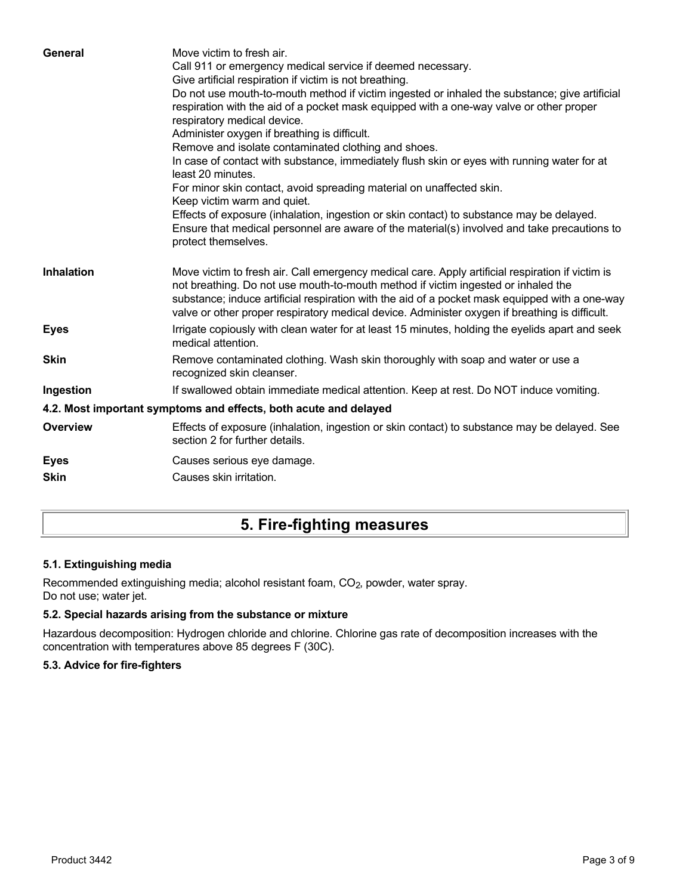| General           | Move victim to fresh air.<br>Call 911 or emergency medical service if deemed necessary.<br>Give artificial respiration if victim is not breathing.<br>Do not use mouth-to-mouth method if victim ingested or inhaled the substance; give artificial<br>respiration with the aid of a pocket mask equipped with a one-way valve or other proper<br>respiratory medical device.<br>Administer oxygen if breathing is difficult.<br>Remove and isolate contaminated clothing and shoes.<br>In case of contact with substance, immediately flush skin or eyes with running water for at<br>least 20 minutes.<br>For minor skin contact, avoid spreading material on unaffected skin.<br>Keep victim warm and quiet.<br>Effects of exposure (inhalation, ingestion or skin contact) to substance may be delayed.<br>Ensure that medical personnel are aware of the material(s) involved and take precautions to<br>protect themselves. |
|-------------------|-----------------------------------------------------------------------------------------------------------------------------------------------------------------------------------------------------------------------------------------------------------------------------------------------------------------------------------------------------------------------------------------------------------------------------------------------------------------------------------------------------------------------------------------------------------------------------------------------------------------------------------------------------------------------------------------------------------------------------------------------------------------------------------------------------------------------------------------------------------------------------------------------------------------------------------|
| <b>Inhalation</b> | Move victim to fresh air. Call emergency medical care. Apply artificial respiration if victim is<br>not breathing. Do not use mouth-to-mouth method if victim ingested or inhaled the<br>substance; induce artificial respiration with the aid of a pocket mask equipped with a one-way<br>valve or other proper respiratory medical device. Administer oxygen if breathing is difficult.                                                                                                                                                                                                                                                                                                                                                                                                                                                                                                                                         |
| <b>Eyes</b>       | Irrigate copiously with clean water for at least 15 minutes, holding the eyelids apart and seek<br>medical attention.                                                                                                                                                                                                                                                                                                                                                                                                                                                                                                                                                                                                                                                                                                                                                                                                             |
| <b>Skin</b>       | Remove contaminated clothing. Wash skin thoroughly with soap and water or use a<br>recognized skin cleanser.                                                                                                                                                                                                                                                                                                                                                                                                                                                                                                                                                                                                                                                                                                                                                                                                                      |
| Ingestion         | If swallowed obtain immediate medical attention. Keep at rest. Do NOT induce vomiting.                                                                                                                                                                                                                                                                                                                                                                                                                                                                                                                                                                                                                                                                                                                                                                                                                                            |
|                   | 4.2. Most important symptoms and effects, both acute and delayed                                                                                                                                                                                                                                                                                                                                                                                                                                                                                                                                                                                                                                                                                                                                                                                                                                                                  |
| <b>Overview</b>   | Effects of exposure (inhalation, ingestion or skin contact) to substance may be delayed. See<br>section 2 for further details.                                                                                                                                                                                                                                                                                                                                                                                                                                                                                                                                                                                                                                                                                                                                                                                                    |
| <b>Eyes</b>       | Causes serious eye damage.                                                                                                                                                                                                                                                                                                                                                                                                                                                                                                                                                                                                                                                                                                                                                                                                                                                                                                        |
| <b>Skin</b>       | Causes skin irritation.                                                                                                                                                                                                                                                                                                                                                                                                                                                                                                                                                                                                                                                                                                                                                                                                                                                                                                           |
|                   |                                                                                                                                                                                                                                                                                                                                                                                                                                                                                                                                                                                                                                                                                                                                                                                                                                                                                                                                   |

# **5. Fire-fighting measures**

### **5.1. Extinguishing media**

Recommended extinguishing media; alcohol resistant foam, CO<sub>2</sub>, powder, water spray. Do not use; water jet.

### **5.2. Special hazards arising from the substance or mixture**

Hazardous decomposition: Hydrogen chloride and chlorine. Chlorine gas rate of decomposition increases with the concentration with temperatures above 85 degrees F (30C).

#### **5.3. Advice for fire-fighters**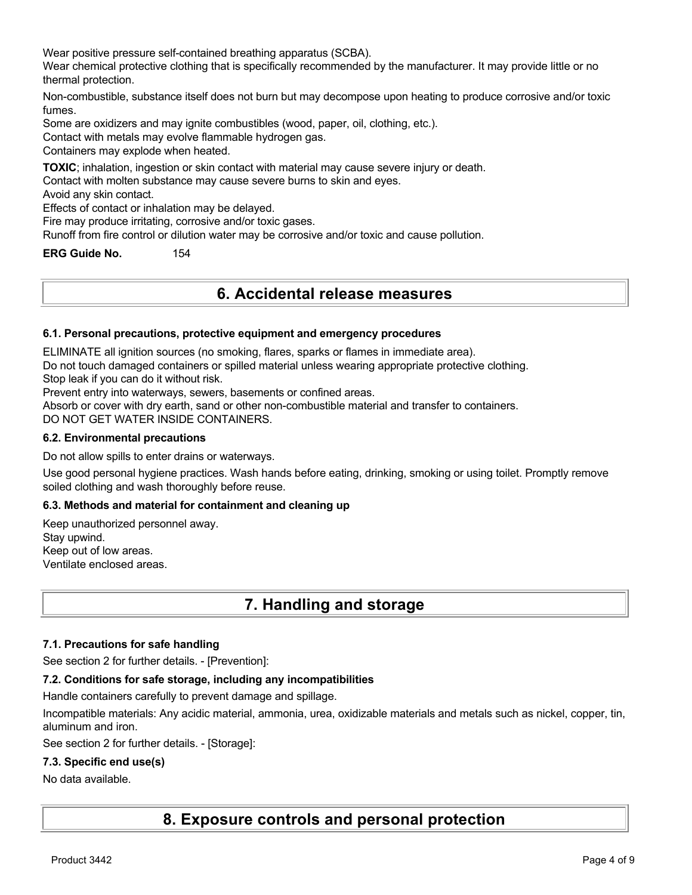Wear positive pressure self-contained breathing apparatus (SCBA).

Wear chemical protective clothing that is specifically recommended by the manufacturer. It may provide little or no thermal protection.

Non-combustible, substance itself does not burn but may decompose upon heating to produce corrosive and/or toxic fumes.

Some are oxidizers and may ignite combustibles (wood, paper, oil, clothing, etc.).

Contact with metals may evolve flammable hydrogen gas.

Containers may explode when heated.

**TOXIC**; inhalation, ingestion or skin contact with material may cause severe injury or death.

Contact with molten substance may cause severe burns to skin and eyes.

Avoid any skin contact.

Effects of contact or inhalation may be delayed.

Fire may produce irritating, corrosive and/or toxic gases.

Runoff from fire control or dilution water may be corrosive and/or toxic and cause pollution.

**ERG Guide No.** 154

### **6. Accidental release measures**

#### **6.1. Personal precautions, protective equipment and emergency procedures**

ELIMINATE all ignition sources (no smoking, flares, sparks or flames in immediate area).

Do not touch damaged containers or spilled material unless wearing appropriate protective clothing.

Stop leak if you can do it without risk.

Prevent entry into waterways, sewers, basements or confined areas.

Absorb or cover with dry earth, sand or other non-combustible material and transfer to containers.

DO NOT GET WATER INSIDE CONTAINERS.

#### **6.2. Environmental precautions**

Do not allow spills to enter drains or waterways.

Use good personal hygiene practices. Wash hands before eating, drinking, smoking or using toilet. Promptly remove soiled clothing and wash thoroughly before reuse.

#### **6.3. Methods and material for containment and cleaning up**

Keep unauthorized personnel away. Stay upwind. Keep out of low areas. Ventilate enclosed areas.

# **7. Handling and storage**

#### **7.1. Precautions for safe handling**

See section 2 for further details. - [Prevention]:

#### **7.2. Conditions for safe storage, including any incompatibilities**

Handle containers carefully to prevent damage and spillage.

Incompatible materials: Any acidic material, ammonia, urea, oxidizable materials and metals such as nickel, copper, tin, aluminum and iron.

See section 2 for further details. - [Storage]:

#### **7.3. Specific end use(s)**

#### No data available.

**8. Exposure controls and personal protection**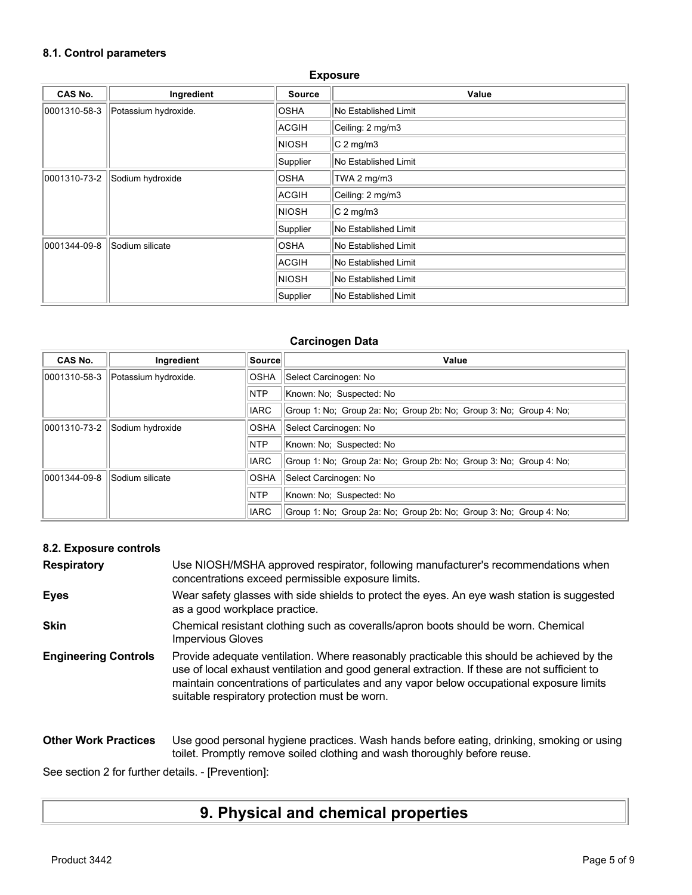### **8.1. Control parameters**

| CAS No.      | Ingredient           | <b>Source</b> | Value                |
|--------------|----------------------|---------------|----------------------|
| 0001310-58-3 | Potassium hydroxide. | <b>OSHA</b>   | No Established Limit |
|              |                      | ACGIH         | Ceiling: 2 mg/m3     |
|              |                      | <b>NIOSH</b>  | $C2$ mg/m3           |
|              |                      | Supplier      | No Established Limit |
| 0001310-73-2 | Sodium hydroxide     | <b>OSHA</b>   | TWA 2 mg/m3          |
|              |                      | ACGIH         | Ceiling: 2 mg/m3     |
|              |                      | <b>NIOSH</b>  | $C2$ mg/m3           |
|              |                      | Supplier      | No Established Limit |
| 0001344-09-8 | Sodium silicate      | <b>OSHA</b>   | No Established Limit |
|              |                      | ACGIH         | No Established Limit |
|              |                      | <b>NIOSH</b>  | No Established Limit |
|              |                      | Supplier      | No Established Limit |

**Exposure**

#### **Carcinogen Data**

| CAS No.      | Ingredient           | ∣Source∣    | Value                                                              |
|--------------|----------------------|-------------|--------------------------------------------------------------------|
| 0001310-58-3 | Potassium hydroxide. | <b>OSHA</b> | Select Carcinogen: No                                              |
|              |                      | <b>NTP</b>  | Known: No: Suspected: No                                           |
|              |                      | <b>IARC</b> | Group 1: No: Group 2a: No: Group 2b: No: Group 3: No: Group 4: No: |
| 0001310-73-2 | Sodium hydroxide     | <b>OSHA</b> | Select Carcinogen: No                                              |
|              |                      | <b>NTP</b>  | Known: No: Suspected: No                                           |
|              |                      | <b>IARC</b> | Group 1: No: Group 2a: No: Group 2b: No: Group 3: No: Group 4: No: |
| 0001344-09-8 | Sodium silicate      | OSHA        | Select Carcinogen: No                                              |
|              |                      | <b>NTP</b>  | Known: No: Suspected: No                                           |
|              |                      | <b>IARC</b> | Group 1: No: Group 2a: No: Group 2b: No: Group 3: No: Group 4: No: |

### **8.2. Exposure controls**

| <b>Respiratory</b>          | Use NIOSH/MSHA approved respirator, following manufacturer's recommendations when<br>concentrations exceed permissible exposure limits.                                                                                                                                                                                                |
|-----------------------------|----------------------------------------------------------------------------------------------------------------------------------------------------------------------------------------------------------------------------------------------------------------------------------------------------------------------------------------|
| <b>Eyes</b>                 | Wear safety glasses with side shields to protect the eyes. An eye wash station is suggested<br>as a good workplace practice.                                                                                                                                                                                                           |
| <b>Skin</b>                 | Chemical resistant clothing such as coveralls/apron boots should be worn. Chemical<br><b>Impervious Gloves</b>                                                                                                                                                                                                                         |
| <b>Engineering Controls</b> | Provide adequate ventilation. Where reasonably practicable this should be achieved by the<br>use of local exhaust ventilation and good general extraction. If these are not sufficient to<br>maintain concentrations of particulates and any vapor below occupational exposure limits<br>suitable respiratory protection must be worn. |
| <b>Other Work Practices</b> | Use good personal hygiene practices. Wash hands before eating, drinking, smoking or using<br>toilet. Promptly remove soiled clothing and wash thoroughly before reuse.                                                                                                                                                                 |

See section 2 for further details. - [Prevention]:

# **9. Physical and chemical properties**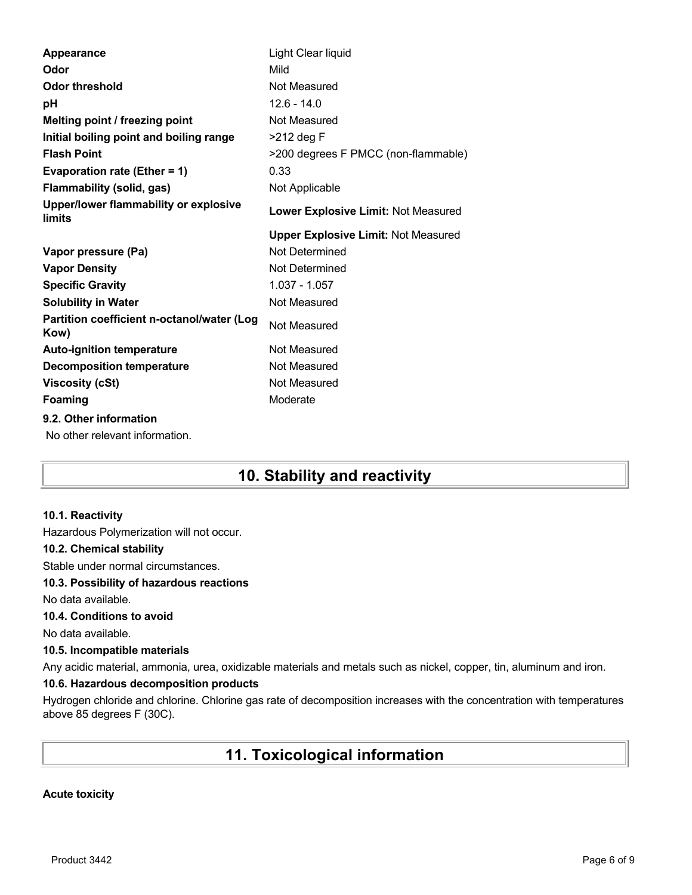| <b>Appearance</b>                                  | Light Clear liquid                         |
|----------------------------------------------------|--------------------------------------------|
| Odor                                               | Mild                                       |
| <b>Odor threshold</b>                              | Not Measured                               |
| рH                                                 | $12.6 - 14.0$                              |
| Melting point / freezing point                     | Not Measured                               |
| Initial boiling point and boiling range            | $>212$ deg F                               |
| <b>Flash Point</b>                                 | >200 degrees F PMCC (non-flammable)        |
| <b>Evaporation rate (Ether = 1)</b>                | 0.33                                       |
| <b>Flammability (solid, gas)</b>                   | Not Applicable                             |
| Upper/lower flammability or explosive<br>limits    | Lower Explosive Limit: Not Measured        |
|                                                    | <b>Upper Explosive Limit: Not Measured</b> |
|                                                    |                                            |
| Vapor pressure (Pa)                                | Not Determined                             |
| <b>Vapor Density</b>                               | Not Determined                             |
| <b>Specific Gravity</b>                            | $1.037 - 1.057$                            |
| <b>Solubility in Water</b>                         | Not Measured                               |
| Partition coefficient n-octanol/water (Log<br>Kow) | Not Measured                               |
| <b>Auto-ignition temperature</b>                   | Not Measured                               |
| <b>Decomposition temperature</b>                   | Not Measured                               |
| <b>Viscosity (cSt)</b>                             | Not Measured                               |
| Foaming                                            | Moderate                                   |
| 9.2. Other information                             |                                            |

# **10. Stability and reactivity**

#### **10.1. Reactivity**

Hazardous Polymerization will not occur.

#### **10.2. Chemical stability**

Stable under normal circumstances.

#### **10.3. Possibility of hazardous reactions**

No data available.

#### **10.4. Conditions to avoid**

No data available.

#### **10.5. Incompatible materials**

Any acidic material, ammonia, urea, oxidizable materials and metals such as nickel, copper, tin, aluminum and iron.

#### **10.6. Hazardous decomposition products**

Hydrogen chloride and chlorine. Chlorine gas rate of decomposition increases with the concentration with temperatures above 85 degrees F (30C).

# **11. Toxicological information**

#### **Acute toxicity**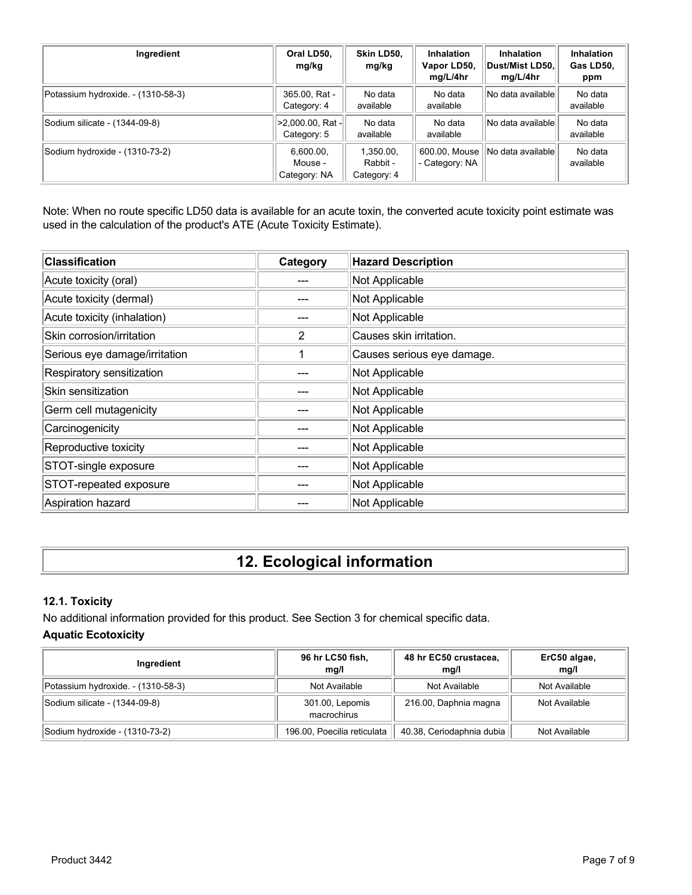| Ingredient                         | Oral LD50,<br>mg/kg                  | Skin LD50,<br>mg/kg                  | <b>Inhalation</b><br>Vapor LD50,<br>mg/L/4hr | <b>Inhalation</b><br>∣Dust/Mist LD50.∣<br>mg/L/4hr | <b>Inhalation</b><br>Gas LD50,<br>ppm |
|------------------------------------|--------------------------------------|--------------------------------------|----------------------------------------------|----------------------------------------------------|---------------------------------------|
| Potassium hydroxide. - (1310-58-3) | 365.00, Rat -<br>Category: 4         | No data<br>available                 | No data<br>available                         | No data available                                  | No data<br>available                  |
| Sodium silicate - (1344-09-8)      | >2,000.00, Rat -<br>Category: 5      | No data<br>available                 | No data<br>available                         | No data availablel                                 | No data<br>available                  |
| Sodium hydroxide - (1310-73-2)     | 6,600.00,<br>Mouse -<br>Category: NA | 1,350.00,<br>Rabbit -<br>Category: 4 | 600.00, Mouse<br>- Category: NA              | No data available                                  | No data<br>available                  |

Note: When no route specific LD50 data is available for an acute toxin, the converted acute toxicity point estimate was used in the calculation of the product's ATE (Acute Toxicity Estimate).

| <b>Classification</b>         | Category | <b>Hazard Description</b>  |
|-------------------------------|----------|----------------------------|
| Acute toxicity (oral)         |          | Not Applicable             |
| Acute toxicity (dermal)       |          | Not Applicable             |
| Acute toxicity (inhalation)   |          | Not Applicable             |
| Skin corrosion/irritation     | 2        | Causes skin irritation.    |
| Serious eye damage/irritation |          | Causes serious eye damage. |
| Respiratory sensitization     |          | Not Applicable             |
| Skin sensitization            |          | Not Applicable             |
| Germ cell mutagenicity        |          | Not Applicable             |
| Carcinogenicity               |          | Not Applicable             |
| Reproductive toxicity         |          | Not Applicable             |
| STOT-single exposure          |          | Not Applicable             |
| STOT-repeated exposure        |          | Not Applicable             |
| Aspiration hazard             |          | Not Applicable             |

# **12. Ecological information**

### **12.1. Toxicity**

No additional information provided for this product. See Section 3 for chemical specific data.

### **Aquatic Ecotoxicity**

| Ingredient                         | 96 hr LC50 fish,<br>mq/l       | 48 hr EC50 crustacea,<br>mq/l | ErC50 algae,<br>mq/l |
|------------------------------------|--------------------------------|-------------------------------|----------------------|
| Potassium hydroxide. - (1310-58-3) | Not Available                  | Not Available                 | Not Available        |
| Sodium silicate - (1344-09-8)      | 301.00, Lepomis<br>macrochirus | 216.00, Daphnia magna         | Not Available        |
| Sodium hydroxide - (1310-73-2)     | 196.00, Poecilia reticulata    | 40.38, Ceriodaphnia dubia     | Not Available        |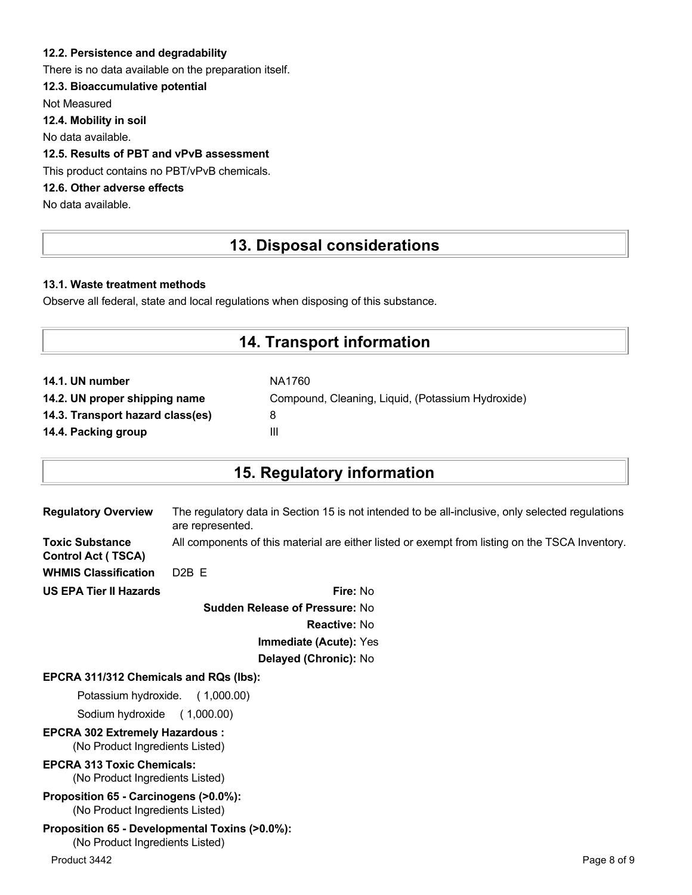#### **12.2. Persistence and degradability**

There is no data available on the preparation itself.

#### **12.3. Bioaccumulative potential**

Not Measured

**12.4. Mobility in soil**

No data available.

#### **12.5. Results of PBT and vPvB assessment**

This product contains no PBT/vPvB chemicals.

### **12.6. Other adverse effects**

No data available.

# **13. Disposal considerations**

#### **13.1. Waste treatment methods**

Observe all federal, state and local regulations when disposing of this substance.

### **14. Transport information**

| 14.1. UN number                  | NA1760                                            |
|----------------------------------|---------------------------------------------------|
| 14.2. UN proper shipping name    | Compound, Cleaning, Liquid, (Potassium Hydroxide) |
| 14.3. Transport hazard class(es) | 8                                                 |
| 14.4. Packing group              | Ш                                                 |

# **15. Regulatory information**

| <b>Regulatory Overview</b>                          | The regulatory data in Section 15 is not intended to be all-inclusive, only selected regulations<br>are represented. |
|-----------------------------------------------------|----------------------------------------------------------------------------------------------------------------------|
| <b>Toxic Substance</b><br><b>Control Act (TSCA)</b> | All components of this material are either listed or exempt from listing on the TSCA Inventory.                      |
| <b>WHMIS Classification</b>                         | $D2B$ F                                                                                                              |
| <b>US EPA Tier II Hazards</b>                       | Fire: No                                                                                                             |
|                                                     | <b>Cuddon Pologeo of Droceuro: No.</b>                                                                               |

**Sudden Release of Pressure:** No **Reactive:** No **Immediate (Acute):** Yes **Delayed (Chronic):** No

#### **EPCRA 311/312 Chemicals and RQs (lbs):**

Potassium hydroxide. ( 1,000.00)

Sodium hydroxide ( 1,000.00)

**EPCRA 302 Extremely Hazardous :** (No Product Ingredients Listed)

### **EPCRA 313 Toxic Chemicals:**

(No Product Ingredients Listed)

**Proposition 65 - Carcinogens (>0.0%):** (No Product Ingredients Listed)

#### **Proposition 65 - Developmental Toxins (>0.0%):** (No Product Ingredients Listed)

Product 3442 Page 8 of 9